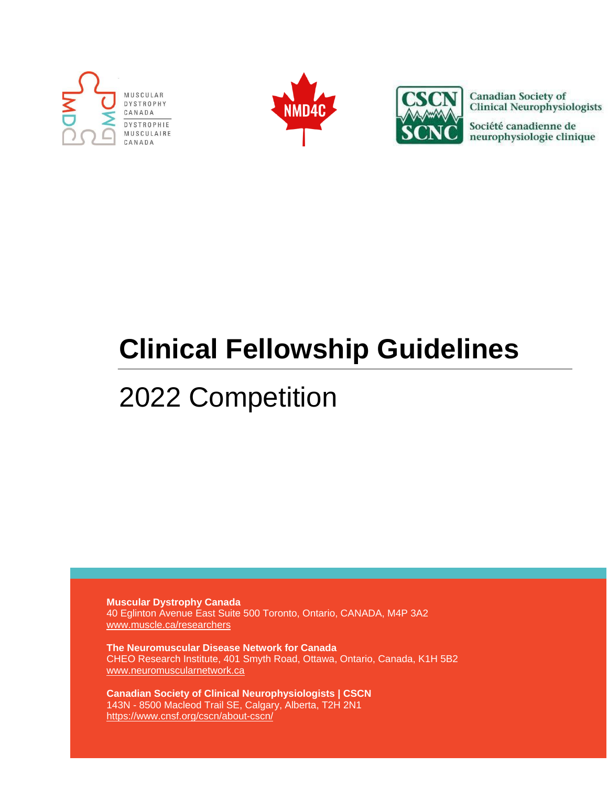





**Canadian Society of Clinical Neurophysiologists** 

Société canadienne de neurophysiologie clinique

# **Clinical Fellowship Guidelines**

## 2022 Competition

**Muscular Dystrophy Canada** 40 Eglinton Avenue East Suite 500 Toronto, Ontario, CANADA, M4P 3A2 www.muscle.ca/researchers

**The Neuromuscular Disease Network for Canada** CHEO Research Institute, 401 Smyth Road, Ottawa, Ontario, Canada, K1H 5B2 www.neuromuscularnetwork.ca

**Canadian Society of Clinical Neurophysiologists | CSCN** 143N - 8500 Macleod Trail SE, Calgary, Alberta, T2H 2N1 https://www.cnsf.org/cscn/about-cscn/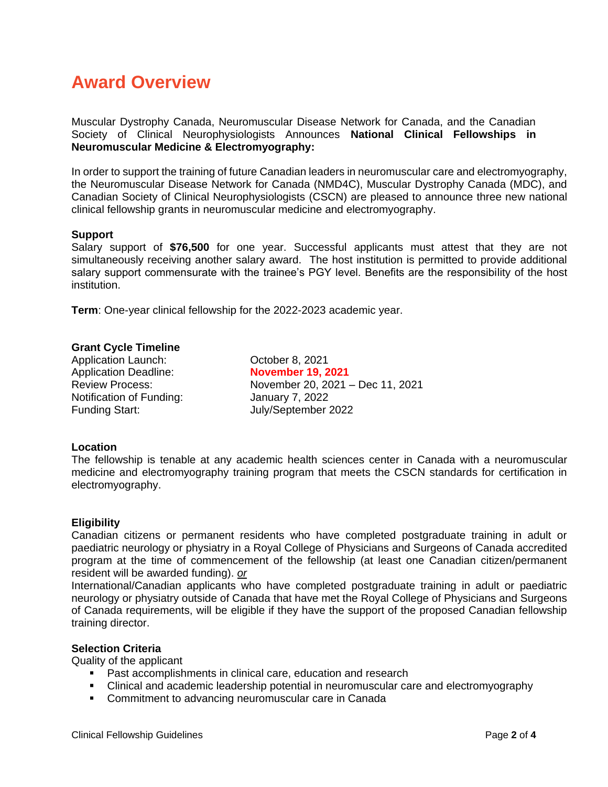## **Award Overview**

Muscular Dystrophy Canada, Neuromuscular Disease Network for Canada, and the Canadian Society of Clinical Neurophysiologists Announces **National Clinical Fellowships in Neuromuscular Medicine & Electromyography:**

In order to support the training of future Canadian leaders in neuromuscular care and electromyography, the Neuromuscular Disease Network for Canada (NMD4C), Muscular Dystrophy Canada (MDC), and Canadian Society of Clinical Neurophysiologists (CSCN) are pleased to announce three new national clinical fellowship grants in neuromuscular medicine and electromyography.

#### **Support**

Salary support of **\$76,500** for one year. Successful applicants must attest that they are not simultaneously receiving another salary award. The host institution is permitted to provide additional salary support commensurate with the trainee's PGY level. Benefits are the responsibility of the host institution.

**Term**: One-year clinical fellowship for the 2022-2023 academic year.

#### **Grant Cycle Timeline**

Application Launch: October 8, 2021 Application Deadline: **November 19, 2021** Notification of Funding: January 7, 2022 Funding Start: July/September 2022

Review Process: November 20, 2021 – Dec 11, 2021

#### **Location**

The fellowship is tenable at any academic health sciences center in Canada with a neuromuscular medicine and electromyography training program that meets the CSCN standards for certification in electromyography.

#### **Eligibility**

Canadian citizens or permanent residents who have completed postgraduate training in adult or paediatric neurology or physiatry in a Royal College of Physicians and Surgeons of Canada accredited program at the time of commencement of the fellowship (at least one Canadian citizen/permanent resident will be awarded funding). *or*

International/Canadian applicants who have completed postgraduate training in adult or paediatric neurology or physiatry outside of Canada that have met the Royal College of Physicians and Surgeons of Canada requirements, will be eligible if they have the support of the proposed Canadian fellowship training director.

#### **Selection Criteria**

Quality of the applicant

- Past accomplishments in clinical care, education and research
- Clinical and academic leadership potential in neuromuscular care and electromyography
- **Commitment to advancing neuromuscular care in Canada**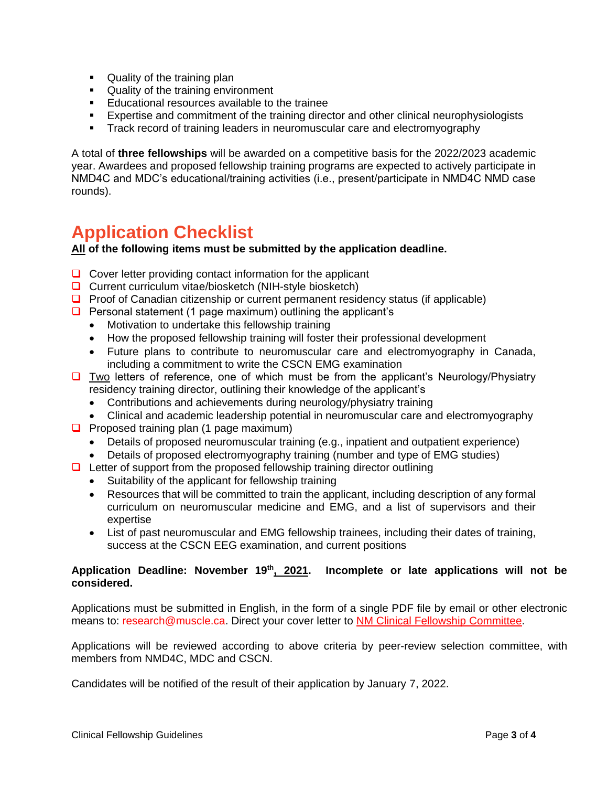- **Quality of the training plan**
- **Quality of the training environment**
- **Educational resources available to the trainee**
- **Expertise and commitment of the training director and other clinical neurophysiologists**
- Track record of training leaders in neuromuscular care and electromyography

A total of **three fellowships** will be awarded on a competitive basis for the 2022/2023 academic year. Awardees and proposed fellowship training programs are expected to actively participate in NMD4C and MDC's educational/training activities (i.e., present/participate in NMD4C NMD case rounds).

### **Application Checklist**

**All of the following items must be submitted by the application deadline.** 

- $\Box$  Cover letter providing contact information for the applicant
- $\Box$  Current curriculum vitae/biosketch (NIH-style biosketch)
- **Proof of Canadian citizenship or current permanent residency status (if applicable)**
- $\Box$  Personal statement (1 page maximum) outlining the applicant's
	- Motivation to undertake this fellowship training
	- How the proposed fellowship training will foster their professional development
	- Future plans to contribute to neuromuscular care and electromyography in Canada, including a commitment to write the CSCN EMG examination
- $\Box$  Two letters of reference, one of which must be from the applicant's Neurology/Physiatry residency training director, outlining their knowledge of the applicant's
	- Contributions and achievements during neurology/physiatry training
	- Clinical and academic leadership potential in neuromuscular care and electromyography
- $\Box$  Proposed training plan (1 page maximum)
	- Details of proposed neuromuscular training (e.g., inpatient and outpatient experience)
	- Details of proposed electromyography training (number and type of EMG studies)
- $\Box$  Letter of support from the proposed fellowship training director outlining
	- Suitability of the applicant for fellowship training
	- Resources that will be committed to train the applicant, including description of any formal curriculum on neuromuscular medicine and EMG, and a list of supervisors and their expertise
	- List of past neuromuscular and EMG fellowship trainees, including their dates of training, success at the CSCN EEG examination, and current positions

#### **Application Deadline: November 19th, 2021. Incomplete or late applications will not be considered.**

Applications must be submitted in English, in the form of a single PDF file by email or other electronic means to: research@muscle.ca. Direct your cover letter to NM Clinical Fellowship Committee.

Applications will be reviewed according to above criteria by peer-review selection committee, with members from NMD4C, MDC and CSCN.

Candidates will be notified of the result of their application by January 7, 2022.